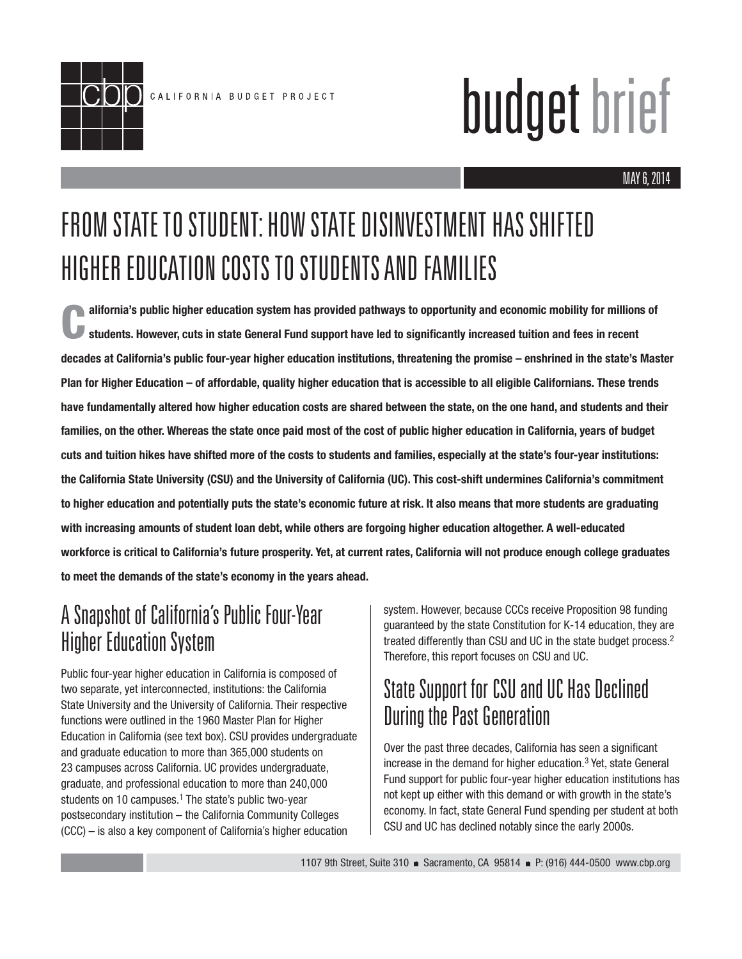

# budget brief

## FROM STATE TO STUDENT: HOW STATE DISINVESTMENT HAS SHIFTED HIGHER EDUCATION COSTS TO STUDENTS AND FAMILIES

**California's public higher education system has provided pathways to opportunity and economic mobility for millions of**  students. However, cuts in state General Fund support have led to significantly increased tuition and fees in recent **decades at California's public four-year higher education institutions, threatening the promise – enshrined in the state's Master Plan for Higher Education – of affordable, quality higher education that is accessible to all eligible Californians. These trends have fundamentally altered how higher education costs are shared between the state, on the one hand, and students and their families, on the other. Whereas the state once paid most of the cost of public higher education in California, years of budget cuts and tuition hikes have shifted more of the costs to students and families, especially at the state's four-year institutions: the California State University (CSU) and the University of California (UC). This cost-shift undermines California's commitment to higher education and potentially puts the state's economic future at risk. It also means that more students are graduating with increasing amounts of student loan debt, while others are forgoing higher education altogether. A well-educated workforce is critical to California's future prosperity. Yet, at current rates, California will not produce enough college graduates to meet the demands of the state's economy in the years ahead.** 

## A Snapshot of California's Public Four-Year Higher Education System

Public four-year higher education in California is composed of two separate, yet interconnected, institutions: the California State University and the University of California. Their respective functions were outlined in the 1960 Master Plan for Higher Education in California (see text box). CSU provides undergraduate and graduate education to more than 365,000 students on 23 campuses across California. UC provides undergraduate, graduate, and professional education to more than 240,000 students on 10 campuses.<sup>1</sup> The state's public two-year postsecondary institution – the California Community Colleges (CCC) – is also a key component of California's higher education

system. However, because CCCs receive Proposition 98 funding guaranteed by the state Constitution for K-14 education, they are treated differently than CSU and UC in the state budget process.2 Therefore, this report focuses on CSU and UC.

## State Support for CSU and UC Has Declined During the Past Generation

Over the past three decades, California has seen a significant increase in the demand for higher education.3 Yet, state General Fund support for public four-year higher education institutions has not kept up either with this demand or with growth in the state's economy. In fact, state General Fund spending per student at both CSU and UC has declined notably since the early 2000s.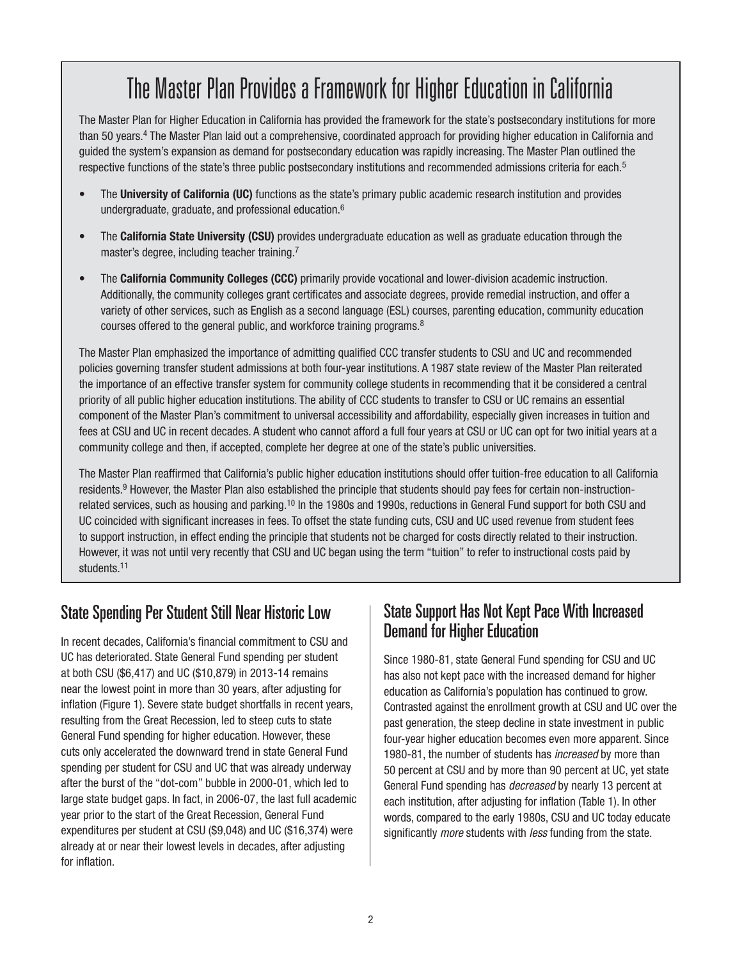## The Master Plan Provides a Framework for Higher Education in California

The Master Plan for Higher Education in California has provided the framework for the state's postsecondary institutions for more than 50 years.<sup>4</sup> The Master Plan laid out a comprehensive, coordinated approach for providing higher education in California and guided the system's expansion as demand for postsecondary education was rapidly increasing. The Master Plan outlined the respective functions of the state's three public postsecondary institutions and recommended admissions criteria for each.<sup>5</sup>

- The **University of California (UC)** functions as the state's primary public academic research institution and provides undergraduate, graduate, and professional education.6
- The **California State University (CSU)** provides undergraduate education as well as graduate education through the master's degree, including teacher training.<sup>7</sup>
- The **California Community Colleges (CCC)** primarily provide vocational and lower-division academic instruction. Additionally, the community colleges grant certificates and associate degrees, provide remedial instruction, and offer a variety of other services, such as English as a second language (ESL) courses, parenting education, community education courses offered to the general public, and workforce training programs.8

The Master Plan emphasized the importance of admitting qualified CCC transfer students to CSU and UC and recommended policies governing transfer student admissions at both four-year institutions. A 1987 state review of the Master Plan reiterated the importance of an effective transfer system for community college students in recommending that it be considered a central priority of all public higher education institutions. The ability of CCC students to transfer to CSU or UC remains an essential component of the Master Plan's commitment to universal accessibility and affordability, especially given increases in tuition and fees at CSU and UC in recent decades. A student who cannot afford a full four years at CSU or UC can opt for two initial years at a community college and then, if accepted, complete her degree at one of the state's public universities.

The Master Plan reaffirmed that California's public higher education institutions should offer tuition-free education to all California residents.<sup>9</sup> However, the Master Plan also established the principle that students should pay fees for certain non-instructionrelated services, such as housing and parking.<sup>10</sup> In the 1980s and 1990s, reductions in General Fund support for both CSU and UC coincided with significant increases in fees. To offset the state funding cuts, CSU and UC used revenue from student fees to support instruction, in effect ending the principle that students not be charged for costs directly related to their instruction. However, it was not until very recently that CSU and UC began using the term "tuition" to refer to instructional costs paid by students.<sup>11</sup>

#### State Spending Per Student Still Near Historic Low

In recent decades, California's financial commitment to CSU and UC has deteriorated. State General Fund spending per student at both CSU (\$6,417) and UC (\$10,879) in 2013-14 remains near the lowest point in more than 30 years, after adjusting for inflation (Figure 1). Severe state budget shortfalls in recent years, resulting from the Great Recession, led to steep cuts to state General Fund spending for higher education. However, these cuts only accelerated the downward trend in state General Fund spending per student for CSU and UC that was already underway after the burst of the "dot-com" bubble in 2000-01, which led to large state budget gaps. In fact, in 2006-07, the last full academic year prior to the start of the Great Recession, General Fund expenditures per student at CSU (\$9,048) and UC (\$16,374) were already at or near their lowest levels in decades, after adjusting for inflation.

#### State Support Has Not Kept Pace With Increased Demand for Higher Education

Since 1980-81, state General Fund spending for CSU and UC has also not kept pace with the increased demand for higher education as California's population has continued to grow. Contrasted against the enrollment growth at CSU and UC over the past generation, the steep decline in state investment in public four-year higher education becomes even more apparent. Since 1980-81, the number of students has *increased* by more than 50 percent at CSU and by more than 90 percent at UC, yet state General Fund spending has *decreased* by nearly 13 percent at each institution, after adjusting for inflation (Table 1). In other words, compared to the early 1980s, CSU and UC today educate significantly *more* students with *less* funding from the state.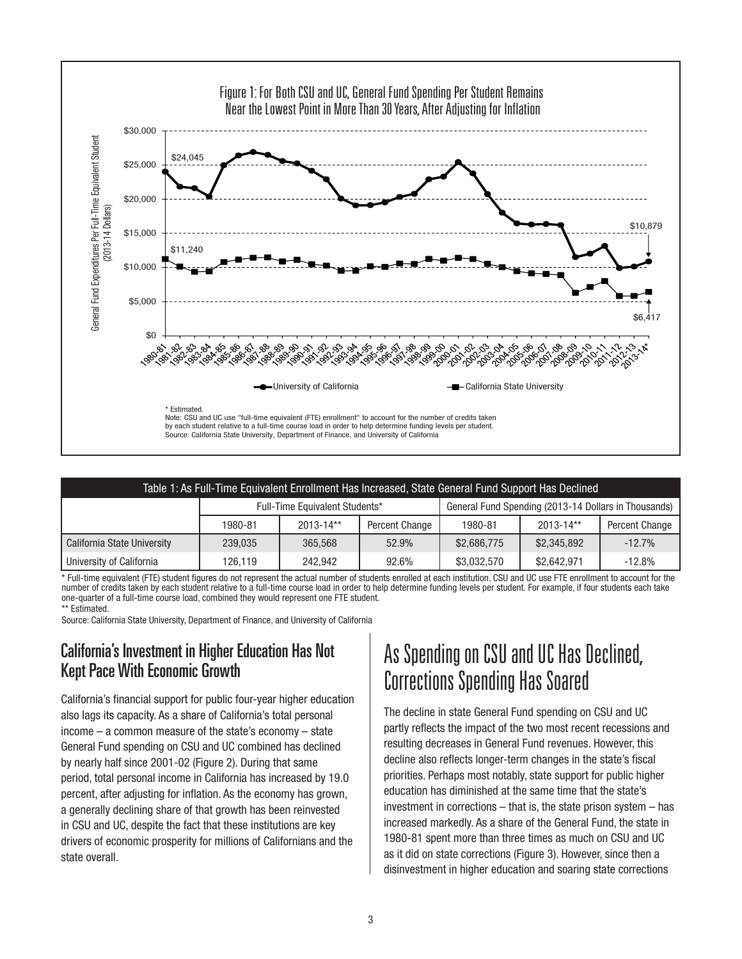

| Table 1: As Full-Time Equivalent Enrollment Has Increased, State General Fund Support Has Declined |                                |               |                |                                                      |             |                |
|----------------------------------------------------------------------------------------------------|--------------------------------|---------------|----------------|------------------------------------------------------|-------------|----------------|
|                                                                                                    | Full-Time Equivalent Students* |               |                | General Fund Spending (2013-14 Dollars in Thousands) |             |                |
|                                                                                                    | 1980-81                        | $2013 - 14**$ | Percent Change | 1980-81                                              | 2013-14**   | Percent Change |
| California State University                                                                        | 239,035                        | 365,568       | 52.9%          | \$2,686,775                                          | \$2,345,892 | $-12.7%$       |
| University of California                                                                           | 126.119                        | 242.942       | 92.6%          | \$3,032,570                                          | \$2,642,971 | $-12.8%$       |

\* Full-time equivalent (FTE) student figures do not represent the actual number of students enrolled at each institution. CSU and UC use FTE enrollment to account for the number of credits taken by each student relative to a full-time course load in order to help determine funding levels per student. For example, if four students each take one-quarter of a full-time course load, combined they would represent one FTE student. \*\* Estimated.

Source: California State University, Department of Finance, and University of California

#### California's Investment in Higher Education Has Not Kept Pace With Economic Growth

California's financial support for public four-year higher education also lags its capacity. As a share of California's total personal income – a common measure of the state's economy – state General Fund spending on CSU and UC combined has declined by nearly half since 2001-02 (Figure 2). During that same period, total personal income in California has increased by 19.0 percent, after adjusting for inflation. As the economy has grown, a generally declining share of that growth has been reinvested in CSU and UC, despite the fact that these institutions are key drivers of economic prosperity for millions of Californians and the state overall.

## As Spending on CSU and UC Has Declined, Corrections Spending Has Soared

The decline in state General Fund spending on CSU and UC partly reflects the impact of the two most recent recessions and resulting decreases in General Fund revenues. However, this decline also reflects longer-term changes in the state's fiscal priorities. Perhaps most notably, state support for public higher education has diminished at the same time that the state's investment in corrections – that is, the state prison system – has increased markedly. As a share of the General Fund, the state in 1980-81 spent more than three times as much on CSU and UC as it did on state corrections (Figure 3). However, since then a disinvestment in higher education and soaring state corrections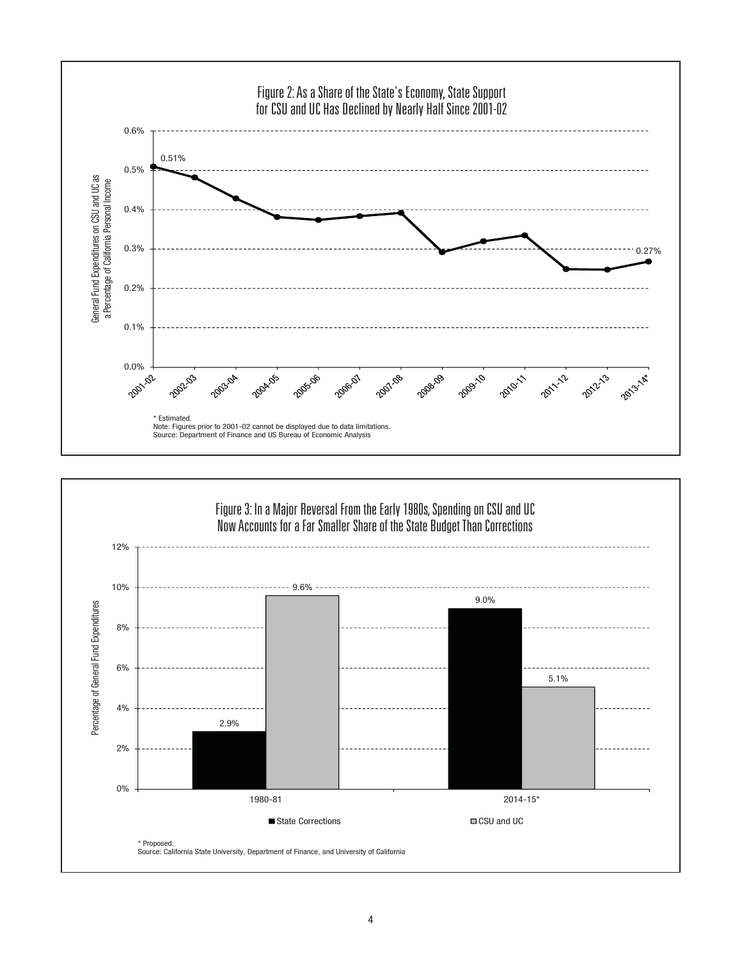

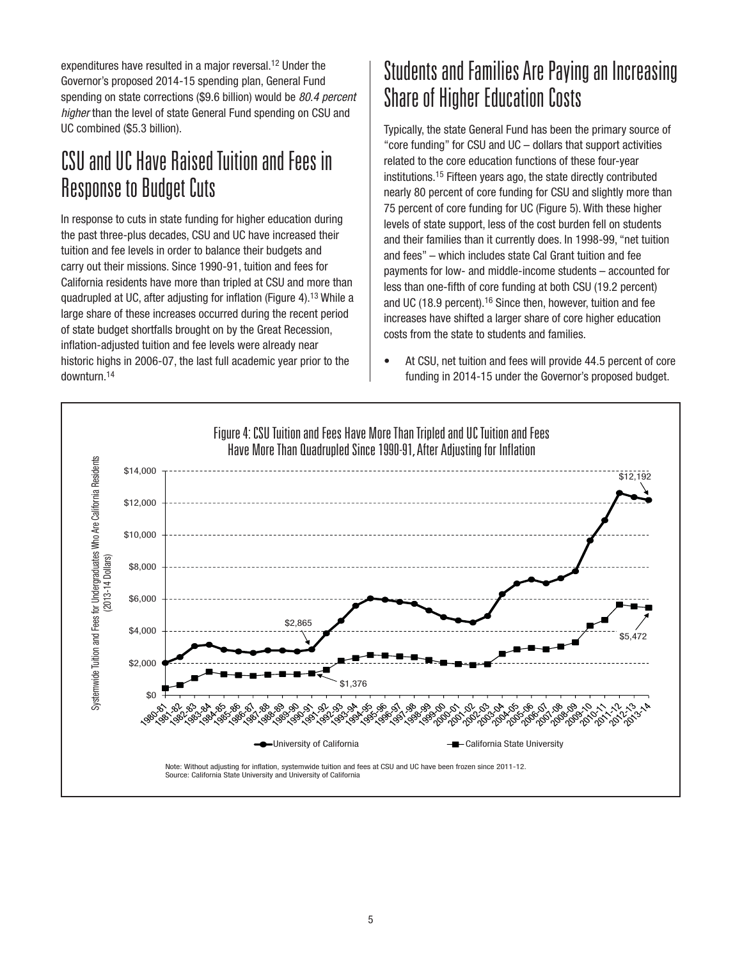expenditures have resulted in a major reversal.<sup>12</sup> Under the Governor's proposed 2014-15 spending plan, General Fund spending on state corrections (\$9.6 billion) would be *80.4 percent higher* than the level of state General Fund spending on CSU and UC combined (\$5.3 billion).

#### CSU and UC Have Raised Tuition and Fees in Response to Budget Cuts

In response to cuts in state funding for higher education during the past three-plus decades, CSU and UC have increased their tuition and fee levels in order to balance their budgets and carry out their missions. Since 1990-91, tuition and fees for California residents have more than tripled at CSU and more than quadrupled at UC, after adjusting for inflation (Figure 4).<sup>13</sup> While a large share of these increases occurred during the recent period of state budget shortfalls brought on by the Great Recession, inflation-adjusted tuition and fee levels were already near historic highs in 2006-07, the last full academic year prior to the downturn.14

### Students and Families Are Paying an Increasing Share of Higher Education Costs

Typically, the state General Fund has been the primary source of "core funding" for CSU and UC – dollars that support activities related to the core education functions of these four-year institutions.15 Fifteen years ago, the state directly contributed nearly 80 percent of core funding for CSU and slightly more than 75 percent of core funding for UC (Figure 5). With these higher levels of state support, less of the cost burden fell on students and their families than it currently does. In 1998-99, "net tuition and fees" – which includes state Cal Grant tuition and fee payments for low- and middle-income students – accounted for less than one-fifth of core funding at both CSU (19.2 percent) and UC (18.9 percent).16 Since then, however, tuition and fee increases have shifted a larger share of core higher education costs from the state to students and families.

• At CSU, net tuition and fees will provide 44.5 percent of core funding in 2014-15 under the Governor's proposed budget.

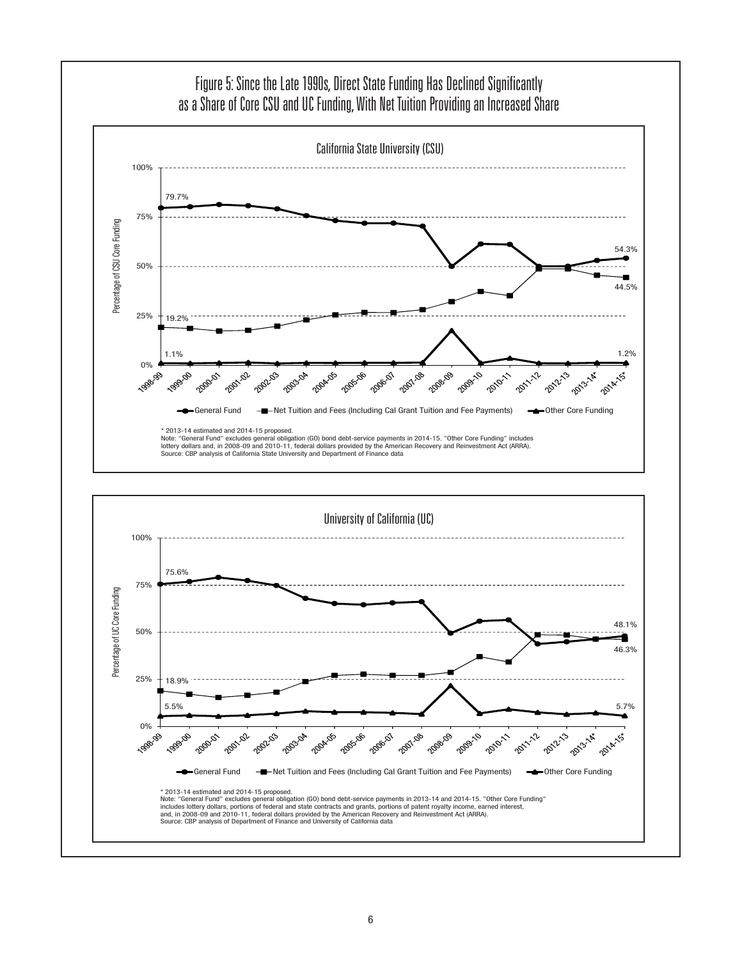

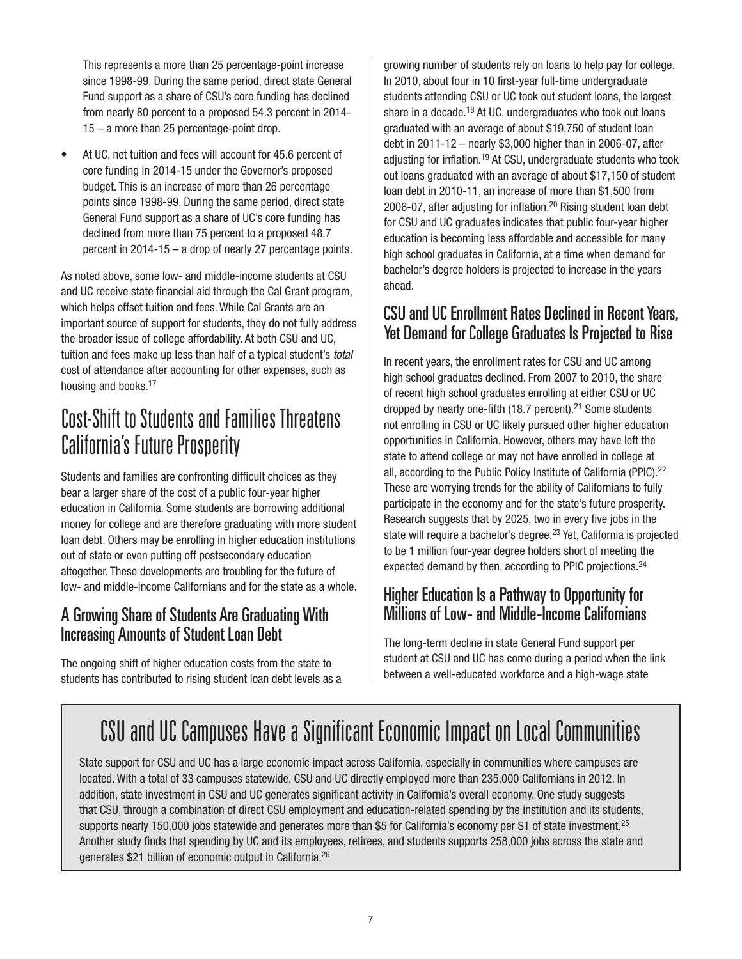This represents a more than 25 percentage-point increase since 1998-99. During the same period, direct state General Fund support as a share of CSU's core funding has declined from nearly 80 percent to a proposed 54.3 percent in 2014- 15 – a more than 25 percentage-point drop.

At UC, net tuition and fees will account for 45.6 percent of core funding in 2014-15 under the Governor's proposed budget. This is an increase of more than 26 percentage points since 1998-99. During the same period, direct state General Fund support as a share of UC's core funding has declined from more than 75 percent to a proposed 48.7 percent in 2014-15 – a drop of nearly 27 percentage points.

As noted above, some low- and middle-income students at CSU and UC receive state financial aid through the Cal Grant program, which helps offset tuition and fees. While Cal Grants are an important source of support for students, they do not fully address the broader issue of college affordability. At both CSU and UC, tuition and fees make up less than half of a typical student's *total* cost of attendance after accounting for other expenses, such as housing and books.<sup>17</sup>

## Cost-Shift to Students and Families Threatens California's Future Prosperity

Students and families are confronting difficult choices as they bear a larger share of the cost of a public four-year higher education in California. Some students are borrowing additional money for college and are therefore graduating with more student loan debt. Others may be enrolling in higher education institutions out of state or even putting off postsecondary education altogether. These developments are troubling for the future of low- and middle-income Californians and for the state as a whole.

#### A Growing Share of Students Are Graduating With Increasing Amounts of Student Loan Debt

The ongoing shift of higher education costs from the state to students has contributed to rising student loan debt levels as a

growing number of students rely on loans to help pay for college. In 2010, about four in 10 first-year full-time undergraduate students attending CSU or UC took out student loans, the largest share in a decade.<sup>18</sup> At UC, undergraduates who took out loans graduated with an average of about \$19,750 of student loan debt in 2011-12 – nearly \$3,000 higher than in 2006-07, after adjusting for inflation.<sup>19</sup> At CSU, undergraduate students who took out loans graduated with an average of about \$17,150 of student loan debt in 2010-11, an increase of more than \$1,500 from 2006-07, after adjusting for inflation. $20$  Rising student loan debt for CSU and UC graduates indicates that public four-year higher education is becoming less affordable and accessible for many high school graduates in California, at a time when demand for bachelor's degree holders is projected to increase in the years ahead.

#### CSU and UC Enrollment Rates Declined in Recent Years, Yet Demand for College Graduates Is Projected to Rise

In recent years, the enrollment rates for CSU and UC among high school graduates declined. From 2007 to 2010, the share of recent high school graduates enrolling at either CSU or UC dropped by nearly one-fifth (18.7 percent).<sup>21</sup> Some students not enrolling in CSU or UC likely pursued other higher education opportunities in California. However, others may have left the state to attend college or may not have enrolled in college at all, according to the Public Policy Institute of California (PPIC).<sup>22</sup> These are worrying trends for the ability of Californians to fully participate in the economy and for the state's future prosperity. Research suggests that by 2025, two in every five jobs in the state will require a bachelor's degree.<sup>23</sup> Yet, California is projected to be 1 million four-year degree holders short of meeting the expected demand by then, according to PPIC projections.<sup>24</sup>

#### Higher Education Is a Pathway to Opportunity for Millions of Low- and Middle-Income Californians

The long-term decline in state General Fund support per student at CSU and UC has come during a period when the link between a well-educated workforce and a high-wage state

## CSU and UC Campuses Have a Significant Economic Impact on Local Communities

State support for CSU and UC has a large economic impact across California, especially in communities where campuses are located. With a total of 33 campuses statewide, CSU and UC directly employed more than 235,000 Californians in 2012. In addition, state investment in CSU and UC generates significant activity in California's overall economy. One study suggests that CSU, through a combination of direct CSU employment and education-related spending by the institution and its students, supports nearly 150,000 jobs statewide and generates more than \$5 for California's economy per \$1 of state investment.<sup>25</sup> Another study finds that spending by UC and its employees, retirees, and students supports 258,000 jobs across the state and generates \$21 billion of economic output in California.26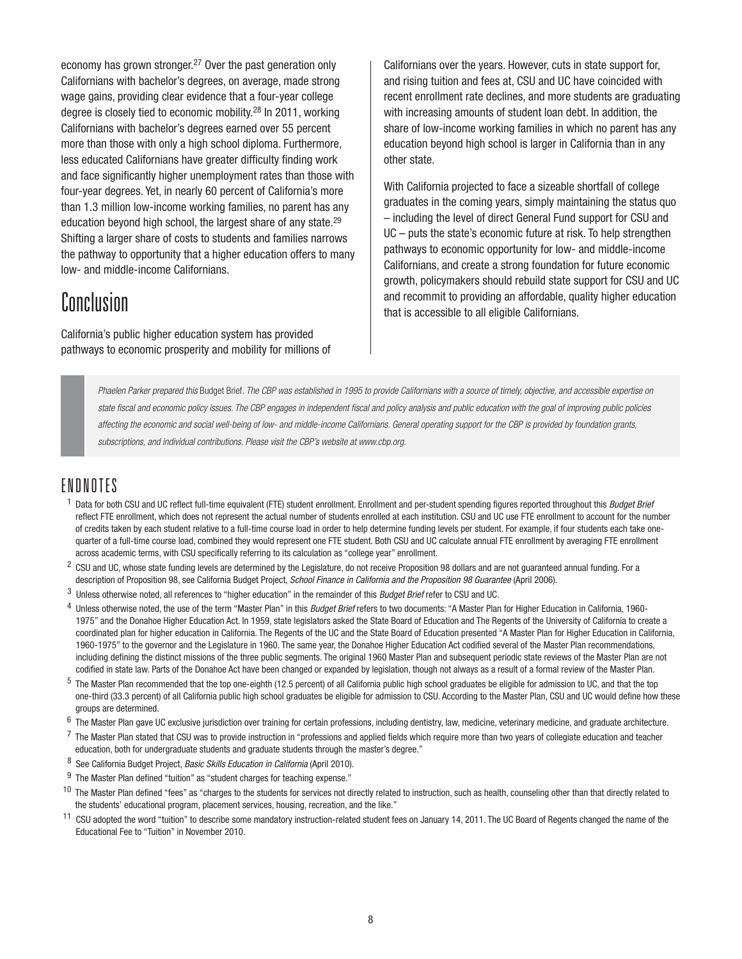economy has grown stronger.<sup>27</sup> Over the past generation only Californians with bachelor's degrees, on average, made strong wage gains, providing clear evidence that a four-year college degree is closely tied to economic mobility.28 In 2011, working Californians with bachelor's degrees earned over 55 percent more than those with only a high school diploma. Furthermore, less educated Californians have greater difficulty finding work and face significantly higher unemployment rates than those with four-year degrees. Yet, in nearly 60 percent of California's more than 1.3 million low-income working families, no parent has any education beyond high school, the largest share of any state.29 Shifting a larger share of costs to students and families narrows the pathway to opportunity that a higher education offers to many low- and middle-income Californians.

#### **Conclusion**

California's public higher education system has provided pathways to economic prosperity and mobility for millions of

Californians over the years. However, cuts in state support for, and rising tuition and fees at, CSU and UC have coincided with recent enrollment rate declines, and more students are graduating with increasing amounts of student loan debt. In addition, the share of low-income working families in which no parent has any education beyond high school is larger in California than in any other state.

With California projected to face a sizeable shortfall of college graduates in the coming years, simply maintaining the status quo – including the level of direct General Fund support for CSU and UC – puts the state's economic future at risk. To help strengthen pathways to economic opportunity for low- and middle-income Californians, and create a strong foundation for future economic growth, policymakers should rebuild state support for CSU and UC and recommit to providing an affordable, quality higher education that is accessible to all eligible Californians.

*Phaelen Parker prepared this* Budget Brief*. The CBP was established in 1995 to provide Californians with a source of timely, objective, and accessible expertise on*  state fiscal and economic policy issues. The CBP engages in independent fiscal and policy analysis and public education with the goal of improving public policies *affecting the economic and social well-being of low- and middle-income Californians. General operating support for the CBP is provided by foundation grants, subscriptions, and individual contributions. Please visit the CBP's website at www.cbp.org.*

#### ENDNOTES

- <sup>1</sup> Data for both CSU and UC reflect full-time equivalent (FTE) student enrollment. Enrollment and per-student spending figures reported throughout this *Budget Brief* reflect FTE enrollment, which does not represent the actual number of students enrolled at each institution. CSU and UC use FTE enrollment to account for the number of credits taken by each student relative to a full-time course load in order to help determine funding levels per student. For example, if four students each take onequarter of a full-time course load, combined they would represent one FTE student. Both CSU and UC calculate annual FTE enrollment by averaging FTE enrollment across academic terms, with CSU specifically referring to its calculation as "college year" enrollment.
- <sup>2</sup> CSU and UC, whose state funding levels are determined by the Legislature, do not receive Proposition 98 dollars and are not guaranteed annual funding. For a description of Proposition 98, see California Budget Project, *School Finance in California and the Proposition 98 Guarantee* (April 2006).
- 3 Unless otherwise noted, all references to "higher education" in the remainder of this *Budget Brief* refer to CSU and UC.
- 4 Unless otherwise noted, the use of the term "Master Plan" in this *Budget Brief* refers to two documents: "A Master Plan for Higher Education in California, 1960- 1975" and the Donahoe Higher Education Act. In 1959, state legislators asked the State Board of Education and The Regents of the University of California to create a coordinated plan for higher education in California. The Regents of the UC and the State Board of Education presented "A Master Plan for Higher Education in California, 1960-1975" to the governor and the Legislature in 1960. The same year, the Donahoe Higher Education Act codified several of the Master Plan recommendations, including defining the distinct missions of the three public segments. The original 1960 Master Plan and subsequent periodic state reviews of the Master Plan are not codified in state law. Parts of the Donahoe Act have been changed or expanded by legislation, though not always as a result of a formal review of the Master Plan.
- <sup>5</sup> The Master Plan recommended that the top one-eighth (12.5 percent) of all California public high school graduates be eligible for admission to UC, and that the top one-third (33.3 percent) of all California public high school graduates be eligible for admission to CSU. According to the Master Plan, CSU and UC would define how these groups are determined.
- $6$  The Master Plan gave UC exclusive jurisdiction over training for certain professions, including dentistry, law, medicine, veterinary medicine, and graduate architecture.
- $7$  The Master Plan stated that CSU was to provide instruction in "professions and applied fields which require more than two years of collegiate education and teacher education, both for undergraduate students and graduate students through the master's degree."
- 8 See California Budget Project, *Basic Skills Education in California* (April 2010).
- $9$  The Master Plan defined "tuition" as "student charges for teaching expense."
- <sup>10</sup> The Master Plan defined "fees" as "charges to the students for services not directly related to instruction, such as health, counseling other than that directly related to the students' educational program, placement services, housing, recreation, and the like."
- 11 CSU adopted the word "tuition" to describe some mandatory instruction-related student fees on January 14, 2011. The UC Board of Regents changed the name of the Educational Fee to "Tuition" in November 2010.